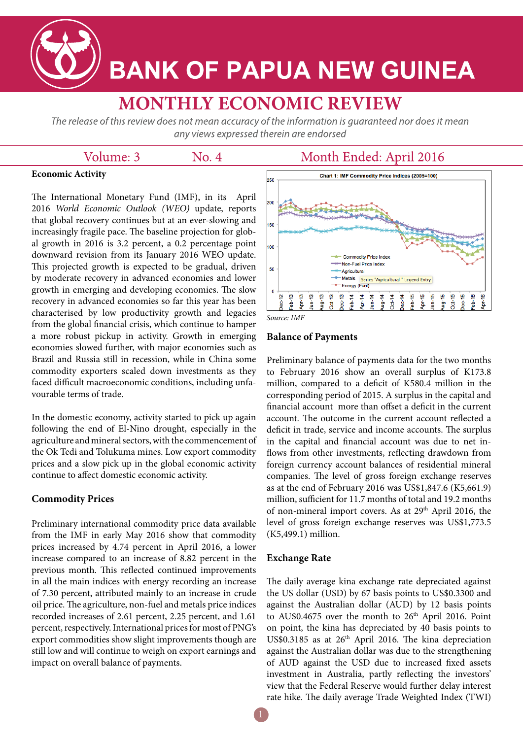

# **BANK OF PAPUA NEW GUINEA**

# **MONTHLY ECONOMIC REVIEW**

The release of this review does not mean accuracy of the information is quaranteed nor does it mean any views expressed therein are endorsed

### Volume: 3

No. 4

## Month Ended: April 2016

#### **Economic Activity**

The International Monetary Fund (IMF), in its April 2016 *World Economic Outlook (WEO)* update, reports that global recovery continues but at an ever-slowing and increasingly fragile pace. The baseline projection for global growth in 2016 is 3.2 percent, a 0.2 percentage point downward revision from its January 2016 WEO update. This projected growth is expected to be gradual, driven by moderate recovery in advanced economies and lower growth in emerging and developing economies. The slow recovery in advanced economies so far this year has been characterised by low productivity growth and legacies from the global financial crisis, which continue to hamper a more robust pickup in activity. Growth in emerging economies slowed further, with major economies such as Brazil and Russia still in recession, while in China some commodity exporters scaled down investments as they faced difficult macroeconomic conditions, including unfavourable terms of trade.

In the domestic economy, activity started to pick up again following the end of El-Nino drought, especially in the agriculture and mineral sectors, with the commencement of the Ok Tedi and Tolukuma mines. Low export commodity prices and a slow pick up in the global economic activity continue to affect domestic economic activity.

#### **Commodity Prices**

Preliminary international commodity price data available from the IMF in early May 2016 show that commodity prices increased by 4.74 percent in April 2016, a lower increase compared to an increase of 8.82 percent in the previous month. This reflected continued improvements in all the main indices with energy recording an increase of 7.30 percent, attributed mainly to an increase in crude oil price. The agriculture, non-fuel and metals price indices recorded increases of 2.61 percent, 2.25 percent, and 1.61 percent, respectively. International prices for most of PNG's export commodities show slight improvements though are still low and will continue to weigh on export earnings and impact on overall balance of payments.



*Source: IMF*

#### **Balance of Payments**

Preliminary balance of payments data for the two months to February 2016 show an overall surplus of K173.8 million, compared to a deficit of K580.4 million in the corresponding period of 2015. A surplus in the capital and financial account more than offset a deficit in the current account. The outcome in the current account reflected a deficit in trade, service and income accounts. The surplus in the capital and financial account was due to net inflows from other investments, reflecting drawdown from foreign currency account balances of residential mineral companies. The level of gross foreign exchange reserves as at the end of February 2016 was US\$1,847.6 (K5,661.9) million, sufficient for 11.7 months of total and 19.2 months of non-mineral import covers. As at 29<sup>th</sup> April 2016, the level of gross foreign exchange reserves was US\$1,773.5 (K5,499.1) million.

#### **Exchange Rate**

The daily average kina exchange rate depreciated against the US dollar (USD) by 67 basis points to US\$0.3300 and against the Australian dollar (AUD) by 12 basis points to AU\$0.4675 over the month to 26<sup>th</sup> April 2016. Point on point, the kina has depreciated by 40 basis points to US\$0.3185 as at 26<sup>th</sup> April 2016. The kina depreciation against the Australian dollar was due to the strengthening of AUD against the USD due to increased fixed assets investment in Australia, partly reflecting the investors' view that the Federal Reserve would further delay interest rate hike. The daily average Trade Weighted Index (TWI)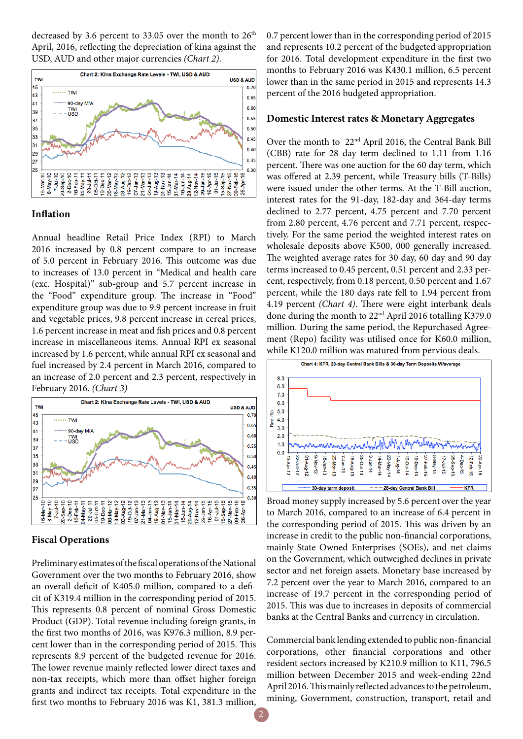decreased by 3.6 percent to 33.05 over the month to  $26<sup>th</sup>$ April, 2016, reflecting the depreciation of kina against the USD, AUD and other major currencies *(Chart 2)*.



#### **Inflation**

Annual headline Retail Price Index (RPI) to March 2016 increased by 0.8 percent compare to an increase of 5.0 percent in February 2016. This outcome was due to increases of 13.0 percent in "Medical and health care (exc. Hospital)" sub-group and 5.7 percent increase in the "Food" expenditure group. The increase in "Food" expenditure group was due to 9.9 percent increase in fruit and vegetable prices, 9.8 percent increase in cereal prices, 1.6 percent increase in meat and fish prices and 0.8 percent increase in miscellaneous items. Annual RPI ex seasonal increased by 1.6 percent, while annual RPI ex seasonal and fuel increased by 2.4 percent in March 2016, compared to an increase of 2.0 percent and 2.3 percent, respectively in February 2016. *(Chart 3)*



#### **Fiscal Operations**

Preliminary estimates of the fiscal operations of the National Government over the two months to February 2016, show an overall deficit of K405.0 million, compared to a deficit of K319.4 million in the corresponding period of 2015. This represents 0.8 percent of nominal Gross Domestic Product (GDP). Total revenue including foreign grants, in the first two months of 2016, was K976.3 million, 8.9 percent lower than in the corresponding period of 2015. This represents 8.9 percent of the budgeted revenue for 2016. The lower revenue mainly reflected lower direct taxes and non-tax receipts, which more than offset higher foreign grants and indirect tax receipts. Total expenditure in the first two months to February 2016 was K1, 381.3 million,

0.7 percent lower than in the corresponding period of 2015 and represents 10.2 percent of the budgeted appropriation for 2016. Total development expenditure in the first two months to February 2016 was K430.1 million, 6.5 percent lower than in the same period in 2015 and represents 14.3 percent of the 2016 budgeted appropriation.

#### **Domestic Interest rates & Monetary Aggregates**

Over the month to 22nd April 2016, the Central Bank Bill (CBB) rate for 28 day term declined to 1.11 from 1.16 percent. There was one auction for the 60 day term, which was offered at 2.39 percent, while Treasury bills (T-Bills) were issued under the other terms. At the T-Bill auction, interest rates for the 91-day, 182-day and 364-day terms declined to 2.77 percent, 4.75 percent and 7.70 percent from 2.80 percent, 4.76 percent and 7.71 percent, respectively. For the same period the weighted interest rates on wholesale deposits above K500, 000 generally increased. The weighted average rates for 30 day, 60 day and 90 day terms increased to 0.45 percent, 0.51 percent and 2.33 percent, respectively, from 0.18 percent, 0.50 percent and 1.67 percent, while the 180 days rate fell to 1.94 percent from 4.19 percent *(Chart 4)*. There were eight interbank deals done during the month to 22<sup>nd</sup> April 2016 totalling K379.0 million. During the same period, the Repurchased Agreement (Repo) facility was utilised once for K60.0 million, while K120.0 million was matured from pervious deals.



Broad money supply increased by 5.6 percent over the year to March 2016, compared to an increase of 6.4 percent in the corresponding period of 2015. This was driven by an increase in credit to the public non-financial corporations, mainly State Owned Enterprises (SOEs), and net claims on the Government, which outweighed declines in private sector and net foreign assets. Monetary base increased by 7.2 percent over the year to March 2016, compared to an increase of 19.7 percent in the corresponding period of 2015. This was due to increases in deposits of commercial banks at the Central Banks and currency in circulation.

Commercial bank lending extended to public non-financial corporations, other financial corporations and other resident sectors increased by K210.9 million to K11, 796.5 million between December 2015 and week-ending 22nd April 2016. This mainly reflected advances to the petroleum, mining, Government, construction, transport, retail and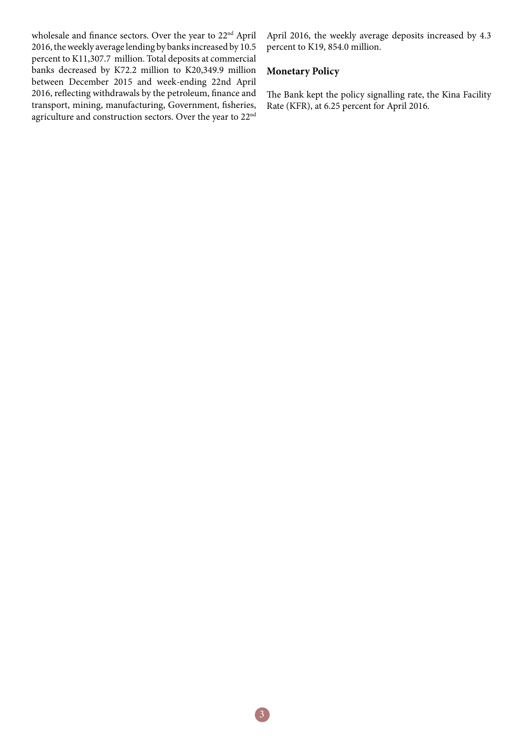wholesale and finance sectors. Over the year to 22nd April 2016, the weekly average lending by banks increased by 10.5 percent to K11,307.7 million. Total deposits at commercial banks decreased by K72.2 million to K20,349.9 million between December 2015 and week-ending 22nd April 2016, reflecting withdrawals by the petroleum, finance and transport, mining, manufacturing, Government, fisheries, agriculture and construction sectors. Over the year to 22nd April 2016, the weekly average deposits increased by 4.3 percent to K19, 854.0 million.

#### **Monetary Policy**

The Bank kept the policy signalling rate, the Kina Facility Rate (KFR), at 6.25 percent for April 2016.